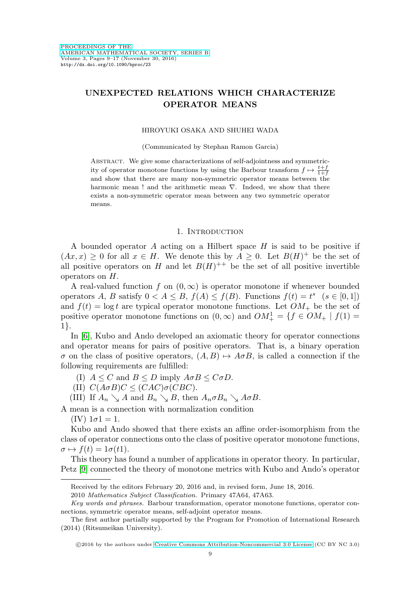# **UNEXPECTED RELATIONS WHICH CHARACTERIZE OPERATOR MEANS**

### HIROYUKI OSAKA AND SHUHEI WADA

(Communicated by Stephan Ramon Garcia)

Abstract. We give some characterizations of self-adjointness and symmetricity of operator monotone functions by using the Barbour transform  $f \mapsto \frac{t+f}{1+f}$ and show that there are many non-symmetric operator means between the harmonic mean ! and the arithmetic mean  $\nabla$ . Indeed, we show that there exists a non-symmetric operator mean between any two symmetric operator means.

#### 1. INTRODUCTION

A bounded operator  $A$  acting on a Hilbert space  $H$  is said to be positive if  $(Ax, x) \geq 0$  for all  $x \in H$ . We denote this by  $A \geq 0$ . Let  $B(H)^+$  be the set of all positive operators on H and let  $B(H)^{++}$  be the set of all positive invertible operators on H.

A real-valued function f on  $(0, \infty)$  is operator monotone if whenever bounded operators A, B satisfy  $0 < A \leq B$ ,  $f(A) \leq f(B)$ . Functions  $f(t) = t^s$   $(s \in [0,1])$ and  $f(t) = \log t$  are typical operator monotone functions. Let  $OM_+$  be the set of positive operator monotone functions on  $(0, \infty)$  and  $OM_+^1 = \{ f \in OM_+ \mid f(1) =$ 1}.

In [\[6\]](#page-8-0), Kubo and Ando developed an axiomatic theory for operator connections and operator means for pairs of positive operators. That is, a binary operation  $\sigma$  on the class of positive operators,  $(A, B) \mapsto A \sigma B$ , is called a connection if the following requirements are fulfilled:

(I)  $A \leq C$  and  $B \leq D$  imply  $A \sigma B \leq C \sigma D$ .

(II)  $C(A \sigma B)C \leq (CAC) \sigma (CBC).$ 

(III) If  $A_n \searrow A$  and  $B_n \searrow B$ , then  $A_n \sigma B_n \searrow A \sigma B$ .

A mean is a connection with normalization condition

(IV)  $1\sigma1 = 1$ .

Kubo and Ando showed that there exists an affine order-isomorphism from the class of operator connections onto the class of positive operator monotone functions,  $\sigma \mapsto f(t)=1\sigma(t1).$ 

This theory has found a number of applications in operator theory. In particular, Petz [\[9\]](#page-8-1) connected the theory of monotone metrics with Kubo and Ando's operator

Received by the editors February 20, 2016 and, in revised form, June 18, 2016.

<sup>2010</sup> Mathematics Subject Classification. Primary 47A64, 47A63.

Key words and phrases. Barbour transformation, operator monotone functions, operator connections, symmetric operator means, self-adjoint operator means.

The first author partially supported by the Program for Promotion of International Research (2014) (Ritsumeikan University).

<sup>©2016</sup> by the authors under [Creative Commons Attribution-Noncommercial 3.0 License](http://creativecommons.org/licenses/by-nc/3.0/) (CC BY NC 3.0)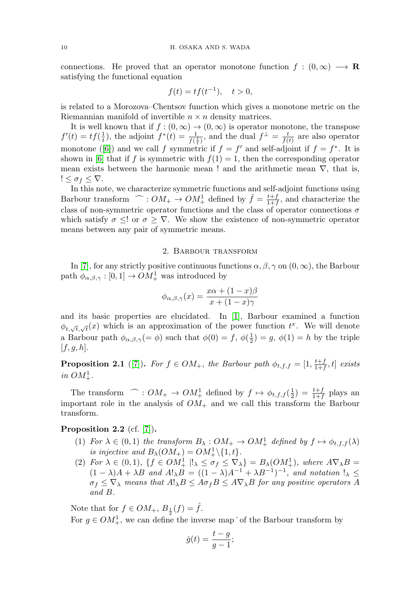connections. He proved that an operator monotone function  $f : (0, \infty) \longrightarrow \mathbb{R}$ satisfying the functional equation

$$
f(t) = tf(t^{-1}), \quad t > 0,
$$

is related to a Morozova–Chentsov function which gives a monotone metric on the Riemannian manifold of invertible  $n \times n$  density matrices.

It is well known that if  $f : (0, \infty) \to (0, \infty)$  is operator monotone, the transpose  $f'(t) = tf(\frac{1}{t})$ , the adjoint  $f^*(t) = \frac{1}{f(\frac{1}{t})}$ , and the dual  $f^{\perp} = \frac{t}{f(t)}$  are also operator monotone ([\[6\]](#page-8-0)) and we call f symmetric if  $f = f'$  and self-adjoint if  $f = f^*$ . It is shown in [\[6\]](#page-8-0) that if f is symmetric with  $f(1) = 1$ , then the corresponding operator mean exists between the harmonic mean ! and the arithmetic mean  $\nabla$ , that is,  $!\leq \sigma_f \leq \nabla.$ 

In this note, we characterize symmetric functions and self-adjoint functions using Barbour transform  $\hat{\hspace{1cm}}$ :  $OM_+ \rightarrow OM_+^1$  defined by  $\hat{f} = \frac{t+f}{1+f}$ , and characterize the class of non-symmetric operator functions and the class of operator connections  $\sigma$ which satisfy  $\sigma \leq !$  or  $\sigma \geq \nabla$ . We show the existence of non-symmetric operator means between any pair of symmetric means.

### 2. Barbour transform

In [\[7\]](#page-8-2), for any strictly positive continuous functions  $\alpha, \beta, \gamma$  on  $(0, \infty)$ , the Barbour path  $\phi_{\alpha,\beta,\gamma} : [0,1] \to OM_+^1$  was introduced by

$$
\phi_{\alpha,\beta,\gamma}(x) = \frac{x\alpha + (1-x)\beta}{x + (1-x)\gamma}
$$

and its basic properties are elucidated. In [\[1\]](#page-8-3), Barbour examined a function  $\phi_{t,\sqrt{t},\sqrt{t}}(x)$  which is an approximation of the power function  $t^x$ . We will denote a Barbour path  $\phi_{\alpha,\beta,\gamma}(=\phi)$  such that  $\phi(0) = f$ ,  $\phi(\frac{1}{2}) = g$ ,  $\phi(1) = h$  by the triple  $[f, g, h].$ 

**Proposition 2.1** ([\[7\]](#page-8-2)). For  $f \in OM_+$ , the Barbour path  $\phi_{t,f,f} = [1, \frac{t+f}{1+f}, t]$  exists in  $OM^1_+$ .

The transform  $\widehat{\hspace{1cm}}$ :  $OM_+ \rightarrow OM_+^1$  defined by  $f \mapsto \phi_{t,f,f}(\frac{1}{2}) = \frac{t+f}{1+f}$  plays an important role in the analysis of  $OM_+$  and we call this transform the Barbour transform.

# <span id="page-1-0"></span>**Proposition 2.2** (cf. [\[7\]](#page-8-2))**.**

- (1) For  $\lambda \in (0,1)$  the transform  $B_{\lambda}: OM_{+} \to OM_{+}^{1}$  defined by  $f \mapsto \phi_{t,f,f}(\lambda)$ is injective and  $B_{\lambda}(OM_+) = OM_+^1 \backslash \{1, t\}.$
- (2) For  $\lambda \in (0,1)$ ,  $\{f \in OM^1_+ \mid !_{\lambda} \leq \sigma_f \leq \nabla_{\lambda}\}=B_{\lambda}(OM^1_+)$ , where  $A\nabla_{\lambda}B=$  $(1 - \lambda)A + \lambda B$  and  $A!_{\lambda}B = ((1 - \lambda)A^{-1} + \lambda B^{-1})^{-1}$ , and notation  $!_{\lambda} \le$  $\sigma_f \leq \nabla_\lambda$  means that  $A!_\lambda B \leq A \sigma_f B \leq A \nabla_\lambda B$  for any positive operators A and B.

Note that for  $f \in OM_+$ ,  $B_{\frac{1}{2}}(f) = \hat{f}$ . For  $g \in OM_+^1$ , we can define the inverse map  $\check{\ }$  of the Barbour transform by

$$
\check{g}(t) = \frac{t - g}{g - 1};
$$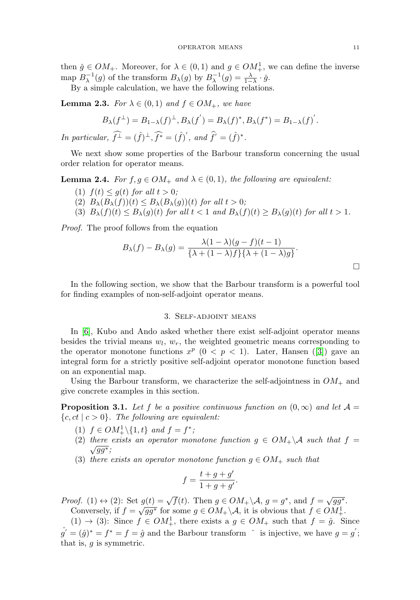then  $\check{g} \in OM_+$ . Moreover, for  $\lambda \in (0,1)$  and  $g \in OM_+^1$ , we can define the inverse map  $B_{\lambda}^{-1}(g)$  of the transform  $B_{\lambda}(g)$  by  $B_{\lambda}^{-1}(g) = \frac{\lambda}{1-\lambda} \cdot \check{g}$ .

By a simple calculation, we have the following relations.

**Lemma 2.3.** For  $\lambda \in (0,1)$  and  $f \in OM_+$ , we have

$$
B_{\lambda}(f^{\perp}) = B_{1-\lambda}(f)^{\perp}, B_{\lambda}(f') = B_{\lambda}(f)^{*}, B_{\lambda}(f^{*}) = B_{1-\lambda}(f)'.
$$

In particular,  $\widehat{f^{\perp}} = (\widehat{f})^{\perp}, \widehat{f^*} = (\widehat{f})'$ , and  $\widehat{f}' = (\widehat{f})^*$ .

We next show some properties of the Barbour transform concerning the usual order relation for operator means.

**Lemma 2.4.** For  $f, g \in OM_+$  and  $\lambda \in (0,1)$ , the following are equivalent:

- (1)  $f(t) < q(t)$  for all  $t > 0$ ;
- (2)  $B_{\lambda}(B_{\lambda}(f))(t) \leq B_{\lambda}(B_{\lambda}(g))(t)$  for all  $t > 0$ ;
- (3)  $B_{\lambda}(f)(t) \leq B_{\lambda}(g)(t)$  for all  $t < 1$  and  $B_{\lambda}(f)(t) \geq B_{\lambda}(g)(t)$  for all  $t > 1$ .

Proof. The proof follows from the equation

$$
B_{\lambda}(f) - B_{\lambda}(g) = \frac{\lambda(1-\lambda)(g-f)(t-1)}{\{\lambda + (1-\lambda)f\}\{\lambda + (1-\lambda)g\}}.
$$

In the following section, we show that the Barbour transform is a powerful tool for finding examples of non-self-adjoint operator means.

# 3. Self-adjoint means

In [\[6\]](#page-8-0), Kubo and Ando asked whether there exist self-adjoint operator means besides the trivial means  $w_l$ ,  $w_r$ , the weighted geometric means corresponding to the operator monotone functions  $x^p$  ( $0 < p < 1$ ). Later, Hansen ([\[3\]](#page-8-4)) gave an integral form for a strictly positive self-adjoint operator monotone function based on an exponential map.

Using the Barbour transform, we characterize the self-adjointness in  $OM_+$  and give concrete examples in this section.

<span id="page-2-0"></span>**Proposition 3.1.** Let f be a positive continuous function on  $(0, \infty)$  and let  $\mathcal{A} =$  ${c, ct \mid c > 0}.$  The following are equivalent:

- (1)  $f \in OM^1_+\setminus\{1, t\}$  and  $f = f^*$ ;
- (2) there exists an operator monotone function  $g \in OM_+\backslash \mathcal{A}$  such that  $f = \sqrt{gg^*}$ ;
- (3) there exists an operator monotone function  $g \in OM_+$  such that

$$
f = \frac{t+g+g'}{1+g+g'}.
$$

*Proof.* (1)  $\leftrightarrow$  (2): Set  $g(t) = \sqrt{f(t)}$ . Then  $g \in OM_+\backslash \mathcal{A}, g = g^*$ , and  $f = \sqrt{gg^*}$ . Conversely, if  $f = \sqrt{gg^*}$  for some  $g \in OM_+ \setminus A$ , it is obvious that  $f \in OM_+^1$ .

 $(1) \rightarrow (3)$ : Since  $f \in OM_+^1$ , there exists a  $g \in OM_+$  such that  $f = \hat{g}$ . Since

 $\hat{g}' = (\hat{g})^* = f^* = f = \hat{g}$  and the Barbour transform  $\hat{g}$  is injective, we have  $g = g'$ ; that is,  $q$  is symmetric.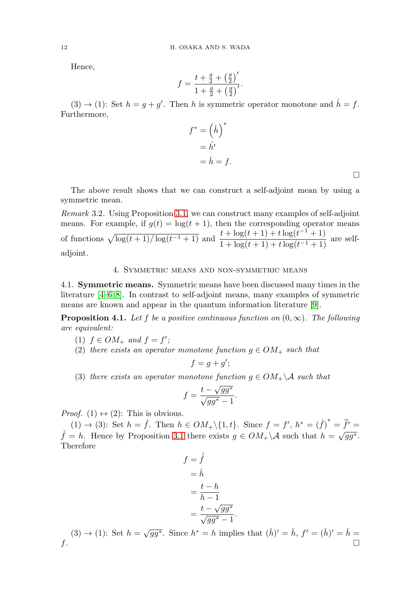Hence,

$$
f = \frac{t + \frac{g}{2} + (\frac{g}{2})'}{1 + \frac{g}{2} + (\frac{g}{2})'}.
$$

 $(3) \rightarrow (1)$ : Set  $h = g + g'$ . Then h is symmetric operator monotone and  $\hat{h} = f$ . Furthermore,

$$
f^* = \left(\hat{h}\right)^* = \hat{h'} = \hat{h} = f.
$$

The above result shows that we can construct a self-adjoint mean by using a symmetric mean.

Remark 3.2. Using Proposition [3.1,](#page-2-0) we can construct many examples of self-adjoint means. For example, if  $g(t) = \log(t + 1)$ , then the corresponding operator means of functions  $\sqrt{\log(t+1)/\log(t^{-1}+1)}$  and  $\frac{t + \log(t+1) + t \log(t^{-1}+1)}{t + t \log(t+1) + t \log(t^{-1}+1)}$  $\frac{1}{1 + \log(t+1) + t \log(t-1+1)}$  are selfadjoint.

### 4. Symmetric means and non-symmetric means

4.1. **Symmetric means.** Symmetric means have been discussed many times in the literature [\[4–](#page-8-5)[6,](#page-8-0) [8\]](#page-8-6). In contrast to self-adjoint means, many examples of symmetric means are known and appear in the quantum information literature [\[9\]](#page-8-1).

**Proposition 4.1.** Let f be a positive continuous function on  $(0, \infty)$ . The following are equivalent:

- (1)  $f \in OM_+$  and  $f = f'$ ;
- (2) there exists an operator monotone function  $g \in OM_+$  such that

$$
f = g + g';
$$

(3) there exists an operator monotone function  $g \in OM_+\backslash A$  such that

$$
f = \frac{t - \sqrt{gg^*}}{\sqrt{gg^*} - 1}.
$$

*Proof.* (1)  $\leftrightarrow$  (2): This is obvious.

(1)  $\rightarrow$  (3): Set  $h = \hat{f}$ . Then  $h \in OM_+\setminus\{1, t\}$ . Since  $f = f', h^* = (\hat{f})^* = \hat{f'} =$  $\hat{f} = h$ . Hence by Proposition [3.1](#page-2-0) there exists  $g \in OM_+\backslash \mathcal{A}$  such that  $h = \sqrt{gg^*}$ . Therefore

$$
f = \tilde{f}
$$
  
=  $\tilde{h}$   
=  $\frac{t - h}{h - 1}$   
=  $\frac{t - \sqrt{gg^*}}{\sqrt{gg^*} - 1}$ 

(3)  $\rightarrow$  (1): Set  $h = \sqrt{gg^*}$ . Since  $h^* = h$  implies that  $(h)' = \check{h}$ ,  $f' = (h)' = \check{h}$  $f$ .

.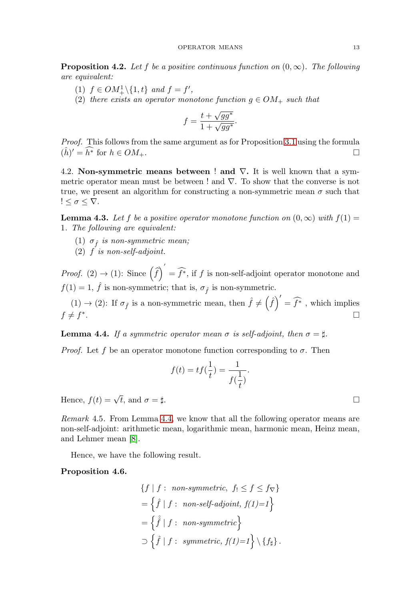**Proposition 4.2.** Let f be a positive continuous function on  $(0, \infty)$ . The following are equivalent:

- (1)  $f \in OM^1_+\backslash \{1, t\}$  and  $f = f'$ ,
- (2) there exists an operator monotone function  $q \in OM_+$  such that

$$
f = \frac{t + \sqrt{gg^*}}{1 + \sqrt{gg^*}}.
$$

Proof. This follows from the same argument as for Proposition [3.1](#page-2-0) using the formula  $(\hat{h})' = \widehat{h^*}$  for  $h \in OM_+$ .

4.2. **Non-symmetric means between** ! **and** ∇**.** It is well known that a symmetric operator mean must be between ! and ∇. To show that the converse is not true, we present an algorithm for constructing a non-symmetric mean  $\sigma$  such that  $!\leq \sigma \leq \nabla.$ 

<span id="page-4-1"></span>**Lemma 4.3.** Let f be a positive operator monotone function on  $(0, \infty)$  with  $f(1) =$ 1. The following are equivalent:

- (1)  $\sigma_{\hat{f}}$  is non-symmetric mean;
- $(2)$  f is non-self-adjoint.

*Proof.* (2)  $\rightarrow$  (1): Since  $(\widehat{f})$  $\hat{f} = \hat{f}^*$ , if f is non-self-adjoint operator monotone and  $f(1) = 1, \hat{f}$  is non-symmetric; that is,  $\sigma_{\hat{f}}$  is non-symmetric.

 $(1) \to (2)$ : If  $\sigma_{\hat{f}}$  is a non-symmetric mean, then  $\hat{f} \neq (\hat{f})' = \hat{f}^*$ , which implies  $f \neq f^*$ .

<span id="page-4-0"></span>**Lemma 4.4.** If a symmetric operator mean  $\sigma$  is self-adjoint, then  $\sigma = \sharp$ .

*Proof.* Let f be an operator monotone function corresponding to  $\sigma$ . Then

$$
f(t) = tf(\frac{1}{t}) = \frac{1}{f(\frac{1}{t})}.
$$

Hence,  $f(t) = \sqrt{t}$ , and  $\sigma = \pm$ .

Remark 4.5. From Lemma [4.4,](#page-4-0) we know that all the following operator means are non-self-adjoint: arithmetic mean, logarithmic mean, harmonic mean, Heinz mean, and Lehmer mean [\[8\]](#page-8-6).

Hence, we have the following result.

<span id="page-4-2"></span>**Proposition 4.6.**

$$
\{f \mid f: \text{ non-symmetric, } f_1 \le f \le f_{\nabla}\}
$$
\n
$$
= \left\{\hat{f} \mid f: \text{ non-self-adjoint, } f(1)=1\right\}
$$
\n
$$
= \left\{\hat{f} \mid f: \text{ non-symmetric}\right\}
$$
\n
$$
\supset \left\{\hat{f} \mid f: \text{ symmetric, } f(1)=1\right\} \setminus \{f_{\sharp}\}.
$$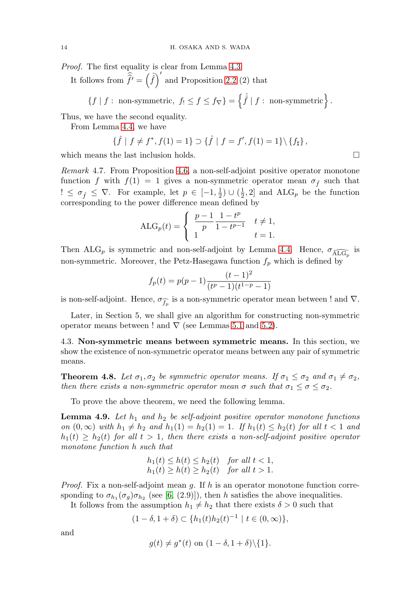Proof. The first equality is clear from Lemma [4.3.](#page-4-1)

It follows from  $\hat{\hat{f}}' = (\hat{f})'$  and Proposition [2.2](#page-1-0) (2) that

$$
\{f \mid f: \text{ non-symmetric}, f_! \leq f \leq f_{\nabla}\} = \left\{\hat{f} \mid f: \text{ non-symmetric}\right\}.
$$

Thus, we have the second equality.

From Lemma [4.4,](#page-4-0) we have

$$
\{\hat{f} \mid f \neq f^*, f(1) = 1\} \supset \{\hat{f} \mid f = f', f(1) = 1\} \setminus \{f_{\sharp}\},
$$

which means the last inclusion holds.  $\Box$ 

Remark 4.7. From Proposition [4.6,](#page-4-2) a non-self-adjoint positive operator monotone function f with  $f(1) = 1$  gives a non-symmetric operator mean  $\sigma_{\hat{f}}$  such that  $\ell \leq \sigma_{\hat{f}} \leq \nabla$ . For example, let  $p \in [-1, \frac{1}{2}) \cup (\frac{1}{2}, 2]$  and ALG<sub>p</sub> be the function corresponding to the power difference mean defined by

$$
ALG_p(t) = \begin{cases} \frac{p-1}{p} \frac{1-t^p}{1-t^{p-1}} & t \neq 1, \\ 1 & t = 1. \end{cases}
$$

Then ALG<sub>p</sub> is symmetric and non-self-adjoint by Lemma [4.4.](#page-4-0) Hence,  $\sigma_{\widehat{\text{ALG}}_p}$  is non-symmetric. Moreover, the Petz-Hasegawa function  $f_p$  which is defined by

$$
f_p(t) = p(p-1)\frac{(t-1)^2}{(t^p - 1)(t^{1-p} - 1)}
$$

is non-self-adjoint. Hence,  $\sigma_{\widehat{f_p}}$  is a non-symmetric operator mean between ! and  $\nabla$ .

Later, in Section 5, we shall give an algorithm for constructing non-symmetric operator means between ! and  $\nabla$  (see Lemmas [5.1](#page-7-0) and [5.2\)](#page-7-1).

4.3. **Non-symmetric means between symmetric means.** In this section, we show the existence of non-symmetric operator means between any pair of symmetric means.

<span id="page-5-0"></span>**Theorem 4.8.** Let  $\sigma_1, \sigma_2$  be symmetric operator means. If  $\sigma_1 \leq \sigma_2$  and  $\sigma_1 \neq \sigma_2$ , then there exists a non-symmetric operator mean  $\sigma$  such that  $\sigma_1 \leq \sigma \leq \sigma_2$ .

To prove the above theorem, we need the following lemma.

<span id="page-5-1"></span>**Lemma 4.9.** Let  $h_1$  and  $h_2$  be self-adjoint positive operator monotone functions on  $(0, \infty)$  with  $h_1 \neq h_2$  and  $h_1(1) = h_2(1) = 1$ . If  $h_1(t) \leq h_2(t)$  for all  $t < 1$  and  $h_1(t) \geq h_2(t)$  for all  $t > 1$ , then there exists a non-self-adjoint positive operator monotone function h such that

$$
h_1(t) \le h(t) \le h_2(t) \quad \text{for all } t < 1,
$$
\n
$$
h_1(t) \ge h(t) \ge h_2(t) \quad \text{for all } t > 1.
$$

*Proof.* Fix a non-self-adjoint mean g. If h is an operator monotone function corresponding to  $\sigma_{h_1}(\sigma_g)\sigma_{h_2}$  (see [\[6,](#page-8-0) (2.9)]), then h satisfies the above inequalities.

It follows from the assumption  $h_1 \neq h_2$  that there exists  $\delta > 0$  such that

$$
(1 - \delta, 1 + \delta) \subset \{h_1(t)h_2(t)^{-1} \mid t \in (0, \infty)\},\
$$

and

$$
g(t) \neq g^*(t) \text{ on } (1 - \delta, 1 + \delta) \setminus \{1\}.
$$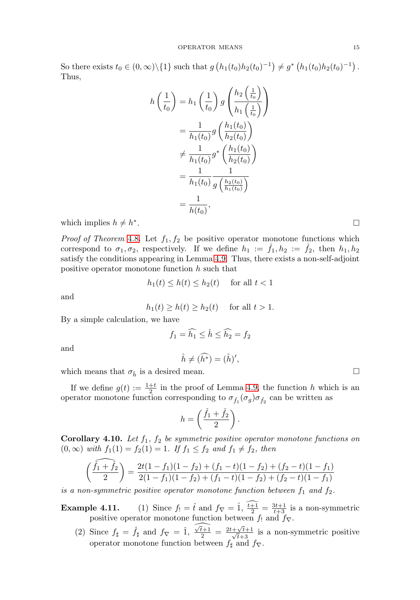So there exists  $t_0 \in (0, \infty) \setminus \{1\}$  such that  $g(h_1(t_0)h_2(t_0)^{-1}) \neq g^*(h_1(t_0)h_2(t_0)^{-1})$ . Thus,

$$
h\left(\frac{1}{t_0}\right) = h_1\left(\frac{1}{t_0}\right)g\left(\frac{h_2\left(\frac{1}{t_0}\right)}{h_1\left(\frac{1}{t_0}\right)}\right)
$$
  

$$
= \frac{1}{h_1(t_0)}g\left(\frac{h_1(t_0)}{h_2(t_0)}\right)
$$
  

$$
\neq \frac{1}{h_1(t_0)}g^*\left(\frac{h_1(t_0)}{h_2(t_0)}\right)
$$
  

$$
= \frac{1}{h_1(t_0)}\frac{1}{g\left(\frac{h_2(t_0)}{h_1(t_0)}\right)}
$$
  

$$
= \frac{1}{h(t_0)},
$$

which implies  $h \neq h^*$ .

*Proof of Theorem* [4.8](#page-5-0). Let  $f_1, f_2$  be positive operator monotone functions which correspond to  $\sigma_1, \sigma_2$ , respectively. If we define  $h_1 := f_1, h_2 := f_2$ , then  $h_1, h_2$ satisfy the conditions appearing in Lemma [4.9.](#page-5-1) Thus, there exists a non-self-adjoint positive operator monotone function  $h$  such that

$$
h_1(t) \le h(t) \le h_2(t) \quad \text{ for all } t < 1
$$

and

$$
h_1(t) \ge h(t) \ge h_2(t) \quad \text{ for all } t > 1.
$$

By a simple calculation, we have

$$
f_1 = \widehat{h_1} \le \widehat{h} \le \widehat{h_2} = f_2
$$

and

$$
\hat{h} \neq (\widehat{h^*}) = (\hat{h})',
$$

which means that  $\sigma_{\hat{h}}$  is a desired mean.  $\Box$ 

If we define  $g(t) := \frac{1+t}{2}$  in the proof of Lemma [4.9,](#page-5-1) the function h which is an operator monotone function corresponding to  $\sigma_{\tilde{f}_1}(\sigma_g)\sigma_{\tilde{f}_2}$  can be written as

$$
h = \left(\frac{\check{f}_1 + \check{f}_2}{2}\right).
$$

**Corollary 4.10.** Let  $f_1$ ,  $f_2$  be symmetric positive operator monotone functions on  $(0, \infty)$  with  $f_1(1) = f_2(1) = 1$ . If  $f_1 \le f_2$  and  $f_1 \ne f_2$ , then

$$
\left(\frac{\check{f}_1 + \check{f}_2}{2}\right) = \frac{2t(1 - f_1)(1 - f_2) + (f_1 - t)(1 - f_2) + (f_2 - t)(1 - f_1)}{2(1 - f_1)(1 - f_2) + (f_1 - t)(1 - f_2) + (f_2 - t)(1 - f_1)}
$$

is a non-symmetric positive operator monotone function between  $f_1$  and  $f_2$ .

**Example 4.11.** (1) Since  $f_1 = \hat{t}$  and  $f_{\nabla} = \hat{1}$ ,  $\frac{t+1}{2} = \frac{3t+1}{t+3}$  is a non-symmetric positive operator monotone function between  $f_!$  and  $f_{\nabla}$ .  $\hat{a}$  and

(2) Since  $f_{\sharp} = \hat{f}_{\sharp}$  and  $f_{\nabla} = \hat{1}, \frac{\sqrt{t+1}}{2} = \frac{2t + \sqrt{t+1}}{\sqrt{t+3}}$  is a non-symmetric positive operator monotone function between  $f_{\sharp}$  and  $f_{\nabla}$ .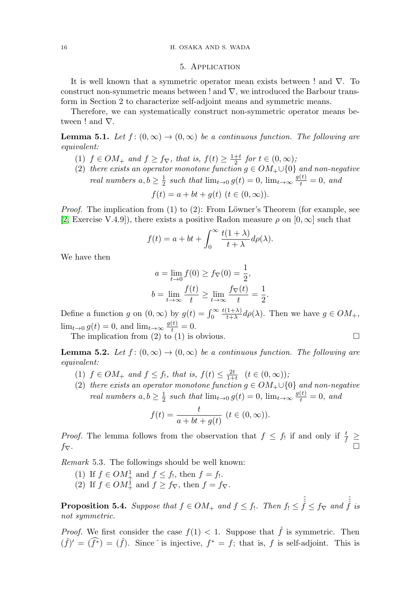#### 5. Application

It is well known that a symmetric operator mean exists between ! and  $\nabla$ . To construct non-symmetric means between ! and  $\nabla$ , we introduced the Barbour transform in Section 2 to characterize self-adjoint means and symmetric means.

Therefore, we can systematically construct non-symmetric operator means between ! and ∇.

<span id="page-7-0"></span>**Lemma 5.1.** Let  $f:(0,\infty) \to (0,\infty)$  be a continuous function. The following are equivalent:

- (1)  $f \in OM_+$  and  $f \ge f_\nabla$ , that is,  $f(t) \ge \frac{1+t}{2}$  for  $t \in (0,\infty)$ ;
- (2) there exists an operator monotone function  $g \in OM_+ \cup \{0\}$  and non-negative real numbers  $a, b \geq \frac{1}{2}$  such that  $\lim_{t \to 0} g(t) = 0$ ,  $\lim_{t \to \infty} \frac{g(t)}{t} = 0$ , and  $f(t) = a + bt + a(t)$   $(t \in (0, \infty))$ .

*Proof.* The implication from  $(1)$  to  $(2)$ : From Löwner's Theorem (for example, see [\[2,](#page-8-7) Exercise V.4.9]), there exists a positive Radon measure  $\rho$  on  $[0,\infty]$  such that

$$
f(t) = a + bt + \int_0^\infty \frac{t(1+\lambda)}{t+\lambda} d\rho(\lambda).
$$

We have then

$$
a = \lim_{t \to 0} f(0) \ge f_{\nabla}(0) = \frac{1}{2},
$$
  

$$
b = \lim_{t \to \infty} \frac{f(t)}{t} \ge \lim_{t \to \infty} \frac{f_{\nabla}(t)}{t} = \frac{1}{2}.
$$

Define a function g on  $(0, \infty)$  by  $g(t) = \int_0^\infty$  $\frac{t(1+\lambda)}{t+\lambda}d\rho(\lambda)$ . Then we have  $g \in OM_+$ ,  $\lim_{t\to 0} g(t) = 0$ , and  $\lim_{t\to \infty} \frac{g(t)}{t} = 0$ .

The implication from (2) to (1) is obvious.  $\Box$ 

<span id="page-7-1"></span>**Lemma 5.2.** Let  $f : (0, \infty) \to (0, \infty)$  be a continuous function. The following are equivalent:

- (1)  $f \in OM_+$  and  $f \le f_!$ , that is,  $f(t) \le \frac{2t}{1+t}$   $(t \in (0,\infty))$ ;
- (2) there exists an operator monotone function  $g \in OM_+ \cup \{0\}$  and non-negative real numbers  $a, b \geq \frac{1}{2}$  such that  $\lim_{t \to 0} g(t) = 0$ ,  $\lim_{t \to \infty} \frac{g(t)}{t} = 0$ , and

$$
f(t) = \frac{t}{a + bt + g(t)} \ (t \in (0, \infty)).
$$

*Proof.* The lemma follows from the observation that  $f \leq f_1$  if and only if  $\frac{t}{f} \geq$  $f_{\nabla}$ .

Remark 5.3. The followings should be well known:

- (1) If  $f \in OM_+^1$  and  $f \leq f_!$ , then  $f = f_!$ .
- (2) If  $f \in OM_+^1$  and  $f \ge f_\nabla$ , then  $f = f_\nabla$ .

**Proposition 5.4.** Suppose that  $f \in OM_+$  and  $f \leq f_1$ . Then  $f_1 \leq \hat{f} \leq f_{\nabla}$  and  $\hat{f}$  is not symmetric.

*Proof.* We first consider the case  $f(1) < 1$ . Suppose that  $\hat{f}$  is symmetric. Then  $(\hat{f})' = (\hat{f}^*) = (\hat{f})$ . Since  $\hat{ }$  is injective,  $f^* = f$ ; that is, f is self-adjoint. This is